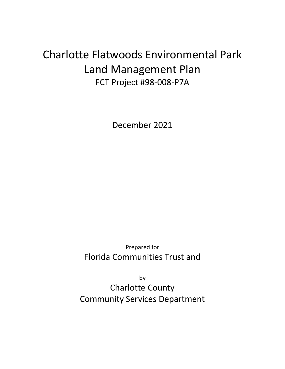# Charlotte Flatwoods Environmental Park Land Management Plan FCT Project #98-008-P7A

December 2021

Prepared for Florida Communities Trust and

by Charlotte County Community Services Department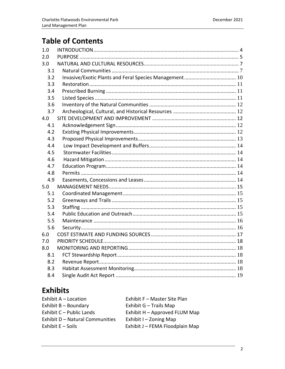# **Table of Contents**

| 1.0 |  |
|-----|--|
| 2.0 |  |
| 3.0 |  |
| 3.1 |  |
| 3.2 |  |
| 3.3 |  |
| 3.4 |  |
| 3.5 |  |
| 3.6 |  |
| 3.7 |  |
| 4.0 |  |
| 4.1 |  |
| 4.2 |  |
| 4.3 |  |
| 4.4 |  |
| 4.5 |  |
| 4.6 |  |
| 4.7 |  |
| 4.8 |  |
| 4.9 |  |
| 5.0 |  |
| 5.1 |  |
| 5.2 |  |
| 5.3 |  |
| 5.4 |  |
| 5.5 |  |
| 5.6 |  |
| 6.0 |  |
| 7.0 |  |
| 8.0 |  |
| 8.1 |  |
| 8.2 |  |
| 8.3 |  |
| 8.4 |  |

# **Exhibits**

| Exhibit A - Location            | Exhibit F - Master Site Plan    |
|---------------------------------|---------------------------------|
| Exhibit $B -$ Boundary          | Exhibit G - Trails Map          |
| Exhibit C - Public Lands        | Exhibit H - Approved FLUM Map   |
| Exhibit D - Natural Communities | Exhibit $I - Z$ oning Map       |
| Exhibit $E -$ Soils             | Exhibit J - FEMA Floodplain Map |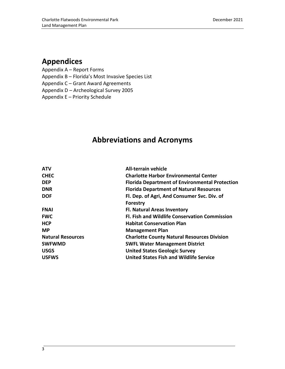# **Appendices**

Appendix A – Report Forms

Appendix B – Florida's Most Invasive Species List

Appendix C – Grant Award Agreements

Appendix D – Archeological Survey 2005

Appendix E – Priority Schedule

# **Abbreviations and Acronyms**

| <b>ATV</b>               | <b>All-terrain vehicle</b>                            |  |  |
|--------------------------|-------------------------------------------------------|--|--|
| <b>CHEC</b>              | <b>Charlotte Harbor Environmental Center</b>          |  |  |
| <b>DEP</b>               | <b>Florida Department of Environmental Protection</b> |  |  |
| <b>DNR</b>               | <b>Florida Department of Natural Resources</b>        |  |  |
| <b>DOF</b>               | Fl. Dep. of Agri, And Consumer Svc. Div. of           |  |  |
|                          | <b>Forestry</b>                                       |  |  |
| <b>FNAI</b>              | <b>Fl. Natural Areas Inventory</b>                    |  |  |
| <b>FWC</b>               | <b>Fl. Fish and Wildlife Conservation Commission</b>  |  |  |
| <b>HCP</b>               | <b>Habitat Conservation Plan</b>                      |  |  |
| <b>MP</b>                | <b>Management Plan</b>                                |  |  |
| <b>Natural Resources</b> | <b>Charlotte County Natural Resources Division</b>    |  |  |
| <b>SWFWMD</b>            | <b>SWFL Water Management District</b>                 |  |  |
| <b>USGS</b>              | <b>United States Geologic Survey</b>                  |  |  |
| <b>USFWS</b>             | <b>United States Fish and Wildlife Service</b>        |  |  |
|                          |                                                       |  |  |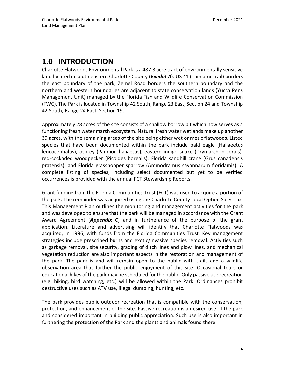# <span id="page-3-0"></span>**1.0 INTRODUCTION**

Charlotte Flatwoods Environmental Park is a 487.3 acre tract of environmentally sensitive land located in south eastern Charlotte County (*Exhibit A*). US 41 (Tamiami Trail) borders the east boundary of the park, Zemel Road borders the southern boundary and the northern and western boundaries are adjacent to state conservation lands (Yucca Pens Management Unit) managed by the Florida Fish and Wildlife Conservation Commission (FWC). The Park is located in Township 42 South, Range 23 East, Section 24 and Township 42 South, Range 24 East, Section 19.

Approximately 28 acres of the site consists of a shallow borrow pit which now serves as a functioning fresh water marsh ecosystem. Natural fresh water wetlands make up another 39 acres, with the remaining areas of the site being either wet or mesic flatwoods. Listed species that have been documented within the park include bald eagle (Haliaeetus leucocephalus), osprey (Pandion haliaetus), eastern indigo snake (Drymarchon corais), red-cockaded woodpecker (Picoides borealis), Florida sandhill crane (Grus canadensis pratensis), and Florida grasshopper sparrow (Ammodramus savannarum floridamis). A complete listing of species, including select documented but yet to be verified occurrences is provided with the annual FCT Stewardship Reports.

Grant funding from the Florida Communities Trust (FCT) was used to acquire a portion of the park. The remainder was acquired using the Charlotte County Local Option Sales Tax. This Management Plan outlines the monitoring and management activities for the park and was developed to ensure that the park will be managed in accordance with the Grant Award Agreement (*Appendix C*) and in furtherance of the purpose of the grant application. Literature and advertising will identify that Charlotte Flatwoods was acquired, in 1996, with funds from the Florida Communities Trust. Key management strategies include prescribed burns and exotic/invasive species removal. Activities such as garbage removal, site security, grading of ditch lines and plow lines, and mechanical vegetation reduction are also important aspects in the restoration and management of the park. The park is and will remain open to the public with trails and a wildlife observation area that further the public enjoyment of this site. Occasional tours or educational hikes of the park may be scheduled for the public. Only passive use recreation (e.g. hiking, bird watching, etc.) will be allowed within the Park. Ordinances prohibit destructive uses such as ATV use, illegal dumping, hunting, etc.

The park provides public outdoor recreation that is compatible with the conservation, protection, and enhancement of the site. Passive recreation is a desired use of the park and considered important in building public appreciation. Such use is also important in furthering the protection of the Park and the plants and animals found there.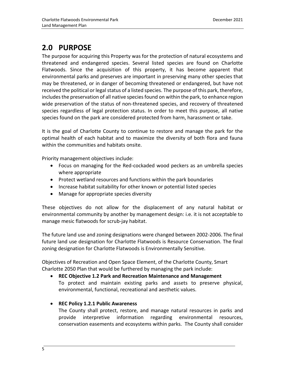# <span id="page-4-0"></span>**2.0 PURPOSE**

The purpose for acquiring this Property was for the protection of natural ecosystems and threatened and endangered species. Several listed species are found on Charlotte Flatwoods. Since the acquisition of this property, it has become apparent that environmental parks and preserves are important in preserving many other species that may be threatened, or in danger of becoming threatened or endangered, but have not received the political or legal status of a listed species. The purpose of this park, therefore, includes the preservation of all native species found on within the park, to enhance region wide preservation of the status of non-threatened species, and recovery of threatened species regardless of legal protection status. In order to meet this purpose, all native species found on the park are considered protected from harm, harassment or take.

It is the goal of Charlotte County to continue to restore and manage the park for the optimal health of each habitat and to maximize the diversity of both flora and fauna within the communities and habitats onsite.

Priority management objectives include:

- Focus on managing for the Red-cockaded wood peckers as an umbrella species where appropriate
- Protect wetland resources and functions within the park boundaries
- Increase habitat suitability for other known or potential listed species
- Manage for appropriate species diversity

These objectives do not allow for the displacement of any natural habitat or environmental community by another by management design: i.e. it is not acceptable to manage mesic flatwoods for scrub-jay habitat.

The future land use and zoning designations were changed between 2002-2006. The final future land use designation for Charlotte Flatwoods is Resource Conservation. The final zoning designation for Charlotte Flatwoods is Environmentally Sensitive.

Objectives of Recreation and Open Space Element, of the Charlotte County, Smart Charlotte 2050 Plan that would be furthered by managing the park include:

### • **REC Objective 1.2 Park and Recreation Maintenance and Management** To protect and maintain existing parks and assets to preserve physical, environmental, functional, recreational and aesthetic values.

#### • **REC Policy 1.2.1 Public Awareness**

The County shall protect, restore, and manage natural resources in parks and provide interpretive information regarding environmental resources, conservation easements and ecosystems within parks. The County shall consider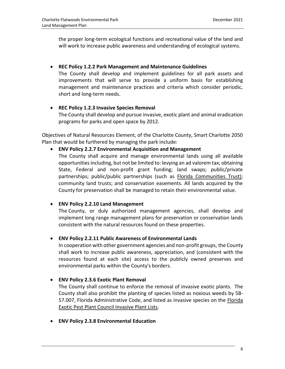the proper long-term ecological functions and recreational value of the land and will work to increase public awareness and understanding of ecological systems.

#### • **REC Policy 1.2.2 Park Management and Maintenance Guidelines**

The County shall develop and implement guidelines for all park assets and improvements that will serve to provide a uniform basis for establishing management and maintenance practices and criteria which consider periodic, short and long-term needs.

### • **REC Policy 1.2.3 Invasive Species Removal**

The County shall develop and pursue invasive, exotic plant and animal eradication programs for parks and open space by 2012.

Objectives of Natural Resources Element, of the Charlotte County, Smart Charlotte 2050 Plan that would be furthered by managing the park include:

#### • **ENV Policy 2.2.7 Environmental Acquisition and Management**

The County shall acquire and manage environmental lands using all available opportunities including, but not be limited to: levying an ad valorem tax; obtaining State, Federal and non-profit grant funding; land swaps; public/private partnerships; public/public partnerships (such as [Florida Communities Trust\);](http://www.floridacommunitiestrust.org/) community land trusts; and conservation easements. All lands acquired by the County for preservation shall be managed to retain their environmental value.

#### • **ENV Policy 2.2.10 Land Management**

The County, or duly authorized management agencies, shall develop and implement long range management plans for preservation or conservation lands consistent with the natural resources found on these properties.

#### • **ENV Policy 2.2.11 Public Awareness of Environmental Lands**

In cooperation with other government agencies and non-profit groups, the County shall work to increase public awareness, appreciation, and (consistent with the resources found at each site) access to the publicly owned preserves and environmental parks within the County's borders.

#### • **ENV Policy 2.3.6 Exotic Plant Removal**

The County shall continue to enforce the removal of invasive exotic plants. The County shall also prohibit the planting of species listed as noxious weeds by 5B-57.007, Florida Administrative Code, and listed as invasive species on the [Florida](http://www.fleppc.org/list/list.htm)  [Exotic Pest Plant Council Invasive Plant Lists.](http://www.fleppc.org/list/list.htm)

• **ENV Policy 2.3.8 Environmental Education**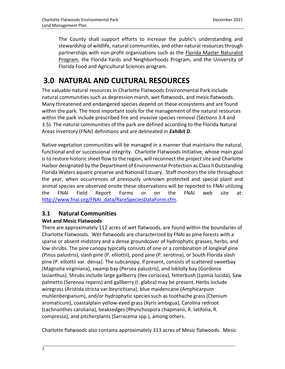The County shall support efforts to increase the public's understanding and stewardship of wildlife, natural communities, and other natural resources through partnerships with non-profit organizations such as the **Florida Master Naturalist** [Program,](http://www.masternaturalist.ifas.ufl.edu/) the Florida Yards and Neighborhoods Program, and the University of Florida Food and Agricultural Sciences program.

# <span id="page-6-0"></span>**3.0 NATURAL AND CULTURAL RESOURCES**

The valuable natural resources in Charlotte Flatwoods Environmental Park include natural communities such as depression marsh, wet flatwoods, and mesic flatwoods. Many threatened and endangered species depend on these ecosystems and are found within the park. The most important tools for the management of the natural resources within the park include prescribed fire and invasive species removal (Sections 3.4 and 3.5). The natural communities of the park are defined according to the Florida Natural Areas Inventory (FNAI) definitions and are delineated in *Exhibit D*.

Native vegetation communities will be managed in a manner that maintains the natural, functional and or successional integrity. Charlotte Flatwoods Initiative, whose main goal is to restore historic sheet flow to the region, will reconnect the project site and Charlotte Harbor designated by the Department of Environmental Protection as Class II Outstanding Florida Waters aquatic preserve and National Estuary. Staff monitors the site throughout the year, when occurrences of previously unknown protected and special plant and animal species are observed onsite these observations will be reported to FNAI utilizing the FNAI Field Report Forms or on the FNAI web site at: [http://www.fnai.org/FNAI\\_data/RareSpeciesDataForm.cfm.](http://www.fnai.org/FNAI_data/RareSpeciesDataForm.cfm)

## <span id="page-6-1"></span>**3.1 Natural Communities**

### **Wet and Mesic Flatwoods**

There are approximately 112 acres of wet flatwoods, are found within the boundaries of Charlotte Flatwoods. Wet flatwoods are characterized by FNAI as pine forests with a sparse or absent midstory and a dense groundcover of hydrophytic grasses, herbs, and low shrubs. The pine canopy typically consists of one or a combination of longleaf pine (Pinus palustris), slash pine (P. elliottii), pond pine (P. serotina), or South Florida slash pine (P. elliottii var. densa). The subcanopy, if present, consists of scattered sweetbay (Magnolia virginiana), swamp bay (Persea palustris), and loblolly bay (Gordonia lasianthus). Shrubs include large gallberry (Ilex coriacea), fetterbush (Lyonia lucida), Saw palmetto (Serenoa repens) and gallberry (I. glabra) may be present. Herbs include wiregrass (Aristida stricta var.beyrichiana), blue maidencane (Amphicarpum muhlenbergianum), and/or hydrophytic species such as toothache grass (Ctenium aromaticum), coastalplain yellow-eyed grass (Xyris ambigua), Carolina redroot (Lachnanthes caroliana), beaksedges (Rhynchospora chapmanii, R. latifolia, R. compressa), and pitcherplants (Sarracenia spp.), among others.

Charlotte flatwoods also contains approximately 313 acres of Mesic flatwoods. Mesic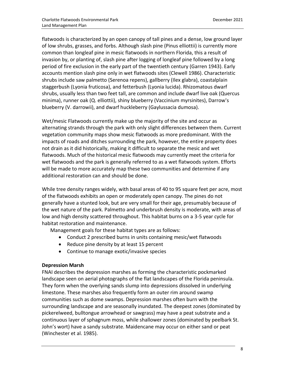flatwoods is characterized by an open canopy of tall pines and a dense, low ground layer of low shrubs, grasses, and forbs. Although slash pine (Pinus elliottii) is currently more common than longleaf pine in mesic flatwoods in northern Florida, this a result of invasion by, or planting of, slash pine after logging of longleaf pine followed by a long period of fire exclusion in the early part of the twentieth century (Garren 1943). Early accounts mention slash pine only in wet flatwoods sites (Clewell 1986). Characteristic shrubs include saw palmetto (Serenoa repens), gallberry (Ilex glabra), coastalplain staggerbush (Lyonia fruticosa), and fetterbush (Lyonia lucida). Rhizomatous dwarf shrubs, usually less than two feet tall, are common and include dwarf live oak (Quercus minima), runner oak (Q. elliottii), shiny blueberry (Vaccinium myrsinites), Darrow's blueberry (V. darrowii), and dwarf huckleberry (Gaylussacia dumosa).

Wet/mesic Flatwoods currently make up the majority of the site and occur as alternating strands through the park with only slight differences between them. Current vegetation community maps show mesic flatwoods as more predominant. With the impacts of roads and ditches surrounding the park, however, the entire property does not drain as it did historically, making it difficult to separate the mesic and wet flatwoods. Much of the historical mesic flatwoods may currently meet the criteria for wet flatwoods and the park is generally referred to as a wet flatwoods system. Efforts will be made to more accurately map these two communities and determine if any additional restoration can and should be done.

While tree density ranges widely, with basal areas of 40 to 95 square feet per acre, most of the flatwoods exhibits an open or moderately open canopy. The pines do not generally have a stunted look, but are very small for their age, presumably because of the wet nature of the park. Palmetto and underbrush density is moderate, with areas of low and high density scattered throughout. This habitat burns on a 3-5 year cycle for habitat restoration and maintenance.

Management goals for these habitat types are as follows:

- Conduct 2 prescribed burns in units containing mesic/wet flatwoods
- Reduce pine density by at least 15 percent
- Continue to manage exotic/invasive species

#### **Depression Marsh**

FNAI describes the depression marshes as forming the characteristic pockmarked landscape seen on aerial photographs of the flat landscapes of the Florida peninsula. They form when the overlying sands slump into depressions dissolved in underlying limestone. These marshes also frequently form an outer rim around swamp communities such as dome swamps. Depression marshes often burn with the surrounding landscape and are seasonally inundated. The deepest zones (dominated by pickerelweed, bulltongue arrowhead or sawgrass) may have a peat substrate and a continuous layer of sphagnum moss, while shallower zones (dominated by peelbark St. John's wort) have a sandy substrate. Maidencane may occur on either sand or peat (Winchester et al. 1985).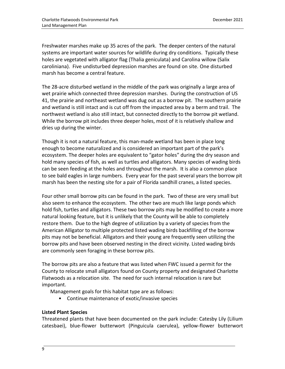Freshwater marshes make up 35 acres of the park. The deeper centers of the natural systems are important water sources for wildlife during dry conditions. Typically these holes are vegetated with alligator flag (Thalia geniculata) and Carolina willow (Salix caroliniana). Five undisturbed depression marshes are found on site. One disturbed marsh has become a central feature.

The 28-acre disturbed wetland in the middle of the park was originally a large area of wet prairie which connected three depression marshes. During the construction of US 41, the prairie and northeast wetland was dug out as a borrow pit. The southern prairie and wetland is still intact and is cut off from the impacted area by a berm and trail. The northwest wetland is also still intact, but connected directly to the borrow pit wetland. While the borrow pit includes three deeper holes, most of it is relatively shallow and dries up during the winter.

Though it is not a natural feature, this man-made wetland has been in place long enough to become naturalized and is considered an important part of the park's ecosystem. The deeper holes are equivalent to "gator holes" during the dry season and hold many species of fish, as well as turtles and alligators. Many species of wading birds can be seen feeding at the holes and throughout the marsh. It is also a common place to see bald eagles in large numbers. Every year for the past several years the borrow pit marsh has been the nesting site for a pair of Florida sandhill cranes, a listed species.

Four other small borrow pits can be found in the park. Two of these are very small but also seem to enhance the ecosystem. The other two are much like large ponds which hold fish, turtles and alligators. These two borrow pits may be modified to create a more natural looking feature, but it is unlikely that the County will be able to completely restore them. Due to the high degree of utilization by a variety of species from the American Alligator to multiple protected listed wading birds backfilling of the borrow pits may not be beneficial. Alligators and their young are frequently seen utilizing the borrow pits and have been observed nesting in the direct vicinity. Listed wading birds are commonly seen foraging in these borrow pits.

The borrow pits are also a feature that was listed when FWC issued a permit for the County to relocate small alligators found on County property and designated Charlotte Flatwoods as a relocation site. The need for such internal relocation is rare but important.

Management goals for this habitat type are as follows:

• Continue maintenance of exotic/invasive species

#### **Listed Plant Species**

Threatened plants that have been documented on the park include: Catesby Lily (Lilium catesbaei), blue-flower butterwort (Pinguicula caerulea), yellow-flower butterwort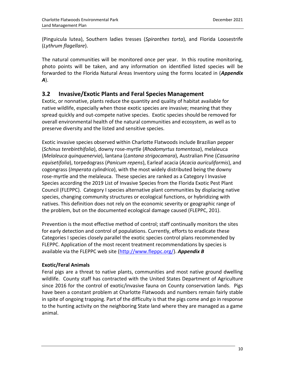(Pinguicula lutea), Southern ladies tresses (*Spiranthes torta*), and Florida Loosestrife (*Lythrum flagellare*).

The natural communities will be monitored once per year. In this routine monitoring, photo points will be taken, and any information on identified listed species will be forwarded to the Florida Natural Areas Inventory using the forms located in (*Appendix A*).

### <span id="page-9-0"></span>**3.2 Invasive/Exotic Plants and Feral Species Management**

Exotic, or nonnative, plants reduce the quantity and quality of habitat available for native wildlife, especially when those exotic species are invasive; meaning that they spread quickly and out-compete native species. Exotic species should be removed for overall environmental health of the natural communities and ecosystem, as well as to preserve diversity and the listed and sensitive species.

Exotic invasive species observed within Charlotte Flatwoods include Brazilian pepper (*Schinus terebinthifolia*), downy rose-myrtle (*Rhodomyrtus tomentosa*), melaleuca (*Melaleuca quinquenervia*), lantana (*Lantana strigocamara*), Australian Pine (*Casuarina equisetifolia*), torpedograss (*Panicum repens*), Earleaf acacia (*Acacia auriculiformis*), and cogongrass (*Imperata cylindrica*), with the most widely distributed being the downy rose-myrtle and the melaleuca. These species are ranked as a Category I Invasive Species according the 2019 List of Invasive Species from the Florida Exotic Pest Plant Council (FLEPPC). Category I species alternative plant communities by displacing native species, changing community structures or ecological functions, or hybridizing with natives. This definition does not rely on the economic severity or geographic range of the problem, but on the documented ecological damage caused (FLEPPC, 201).

Prevention is the most effective method of control; staff continually monitors the sites for early detection and control of populations. Currently, efforts to eradicate these Categories I species closely parallel the exotic species control plans recommended by FLEPPC. Application of the most recent treatment recommendations by species is available via the FLEPPC web site [\(http://www.fleppc.org/\)](http://www.fleppc.org/). *Appendix B*

#### **Exotic/Feral Animals**

Feral pigs are a threat to native plants, communities and most native ground dwelling wildlife. County staff has contracted with the United States Department of Agriculture since 2016 for the control of exotic/invasive fauna on County conservation lands. Pigs have been a constant problem at Charlotte Flatwoods and numbers remain fairly stable in spite of ongoing trapping. Part of the difficulty is that the pigs come and go in response to the hunting activity on the neighboring State land where they are managed as a game animal.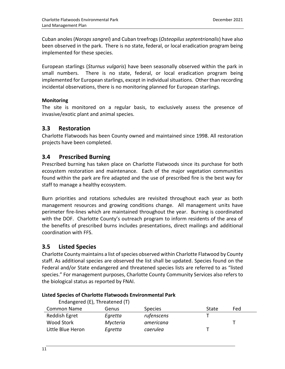Cuban anoles (*Norops sangrei*) and Cuban treefrogs (*Osteopilus septentrionalis*) have also been observed in the park. There is no state, federal, or local eradication program being implemented for these species.

European starlings (*Sturnus vulgaris*) have been seasonally observed within the park in small numbers. There is no state, federal, or local eradication program being implemented for European starlings, except in individual situations. Other than recording incidental observations, there is no monitoring planned for European starlings.

#### **Monitoring**

The site is monitored on a regular basis, to exclusively assess the presence of invasive/exotic plant and animal species.

### <span id="page-10-0"></span>**3.3 Restoration**

Charlotte Flatwoods has been County owned and maintained since 1998. All restoration projects have been completed.

### <span id="page-10-1"></span>**3.4 Prescribed Burning**

Prescribed burning has taken place on Charlotte Flatwoods since its purchase for both ecosystem restoration and maintenance. Each of the major vegetation communities found within the park are fire adapted and the use of prescribed fire is the best way for staff to manage a healthy ecosystem.

Burn priorities and rotations schedules are revisited throughout each year as both management resources and growing conditions change. All management units have perimeter fire-lines which are maintained throughout the year. Burning is coordinated with the DOF. Charlotte County's outreach program to inform residents of the area of the benefits of prescribed burns includes presentations, direct mailings and additional coordination with FFS.

### <span id="page-10-2"></span>**3.5 Listed Species**

Charlotte County maintains a list of species observed within Charlotte Flatwood by County staff. As additional species are observed the list shall be updated. Species found on the Federal and/or State endangered and threatened species lists are referred to as "listed species." For management purposes, Charlotte County Community Services also refers to the biological status as reported by FNAI.

| Endangered (E), Threatened (T) |                |       |     |  |
|--------------------------------|----------------|-------|-----|--|
| Genus                          | <b>Species</b> | State | Fed |  |
| Egretta                        | rufenscens     |       |     |  |
| Mycteria                       | americana      |       |     |  |
| Egretta                        | caerulea       |       |     |  |
|                                |                |       |     |  |

#### **Listed Species of Charlotte Flatwoods Environmental Park**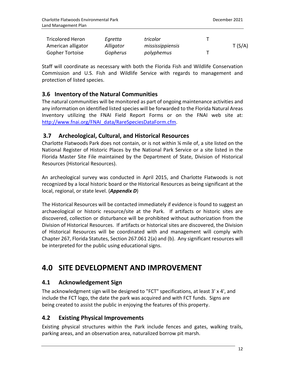| <b>Tricolored Heron</b> | Egretta   | tricolor         |        |
|-------------------------|-----------|------------------|--------|
| American alligator      | Alligator | mississippiensis | T(S/A) |
| <b>Gopher Tortoise</b>  | Gopherus  | polyphemus       |        |

Staff will coordinate as necessary with both the Florida Fish and Wildlife Conservation Commission and U.S. Fish and Wildlife Service with regards to management and protection of listed species.

### <span id="page-11-0"></span>**3.6 Inventory of the Natural Communities**

The natural communities will be monitored as part of ongoing maintenance activities and any information on identified listed species will be forwarded to the Florida Natural Areas Inventory utilizing the FNAI Field Report Forms or on the FNAI web site at: [http://www.fnai.org/FNAI\\_data/RareSpeciesDataForm.cfm](http://www.fnai.org/FNAI_data/RareSpeciesDataForm.cfm).

### <span id="page-11-1"></span>**3.7 Archeological, Cultural, and Historical Resources**

Charlotte Flatwoods Park does not contain, or is not within ¼ mile of, a site listed on the National Register of Historic Places by the National Park Service or a site listed in the Florida Master Site File maintained by the Department of State, Division of Historical Resources (Historical Resources).

An archeological survey was conducted in April 2015, and Charlotte Flatwoods is not recognized by a local historic board or the Historical Resources as being significant at the local, regional, or state level. (*Appendix D*)

The Historical Resources will be contacted immediately if evidence is found to suggest an archaeological or historic resource/site at the Park. If artifacts or historic sites are discovered, collection or disturbance will be prohibited without authorization from the Division of Historical Resources. If artifacts or historical sites are discovered, the Division of Historical Resources will be coordinated with and management will comply with Chapter 267, Florida Statutes, Section 267.061 2(a) and (b). Any significant resources will be interpreted for the public using educational signs.

# <span id="page-11-2"></span>**4.0 SITE DEVELOPMENT AND IMPROVEMENT**

### <span id="page-11-3"></span>**4.1 Acknowledgement Sign**

The acknowledgment sign will be designed to "FCT" specifications, at least 3' x 4', and include the FCT logo, the date the park was acquired and with FCT funds. Signs are being created to assist the public in enjoying the features of this property.

### <span id="page-11-4"></span>**4.2 Existing Physical Improvements**

Existing physical structures within the Park include fences and gates, walking trails, parking areas, and an observation area, naturalized borrow pit marsh.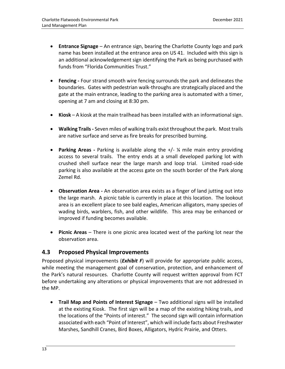- **Entrance Signage**  An entrance sign, bearing the Charlotte County logo and park name has been installed at the entrance area on US 41. Included with this sign is an additional acknowledgement sign identifying the Park as being purchased with funds from "Florida Communities Trust."
- **Fencing -** Four strand smooth wire fencing surrounds the park and delineates the boundaries. Gates with pedestrian walk-throughs are strategically placed and the gate at the main entrance, leading to the parking area is automated with a timer, opening at 7 am and closing at 8:30 pm.
- **Kiosk** A kiosk at the main trailhead has been installed with an informational sign.
- **Walking Trails -** Seven miles of walking trails exist throughout the park. Most trails are native surface and serve as fire breaks for prescribed burning.
- **Parking Areas -** Parking is available along the +/- ¼ mile main entry providing access to several trails. The entry ends at a small developed parking lot with crushed shell surface near the large marsh and loop trial. Limited road-side parking is also available at the access gate on the south border of the Park along Zemel Rd.
- **Observation Area -** An observation area exists as a finger of land jutting out into the large marsh. A picnic table is currently in place at this location. The lookout area is an excellent place to see bald eagles, American alligators, many species of wading birds, warblers, fish, and other wildlife. This area may be enhanced or improved if funding becomes available.
- **Picnic Areas**  There is one picnic area located west of the parking lot near the observation area.

#### <span id="page-12-0"></span>**4.3 Proposed Physical Improvements**

Proposed physical improvements (*Exhibit F*) will provide for appropriate public access, while meeting the management goal of conservation, protection, and enhancement of the Park's natural resources. Charlotte County will request written approval from FCT before undertaking any alterations or physical improvements that are not addressed in the MP.

• **Trail Map and Points of Interest Signage** – Two additional signs will be installed at the existing Kiosk. The first sign will be a map of the existing hiking trails, and the locations of the "Points of interest." The second sign will contain information associated with each "Point of Interest", which will include facts about Freshwater Marshes, Sandhill Cranes, Bird Boxes, Alligators, Hydric Prairie, and Otters.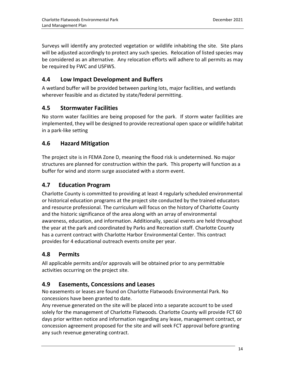Surveys will identify any protected vegetation or wildlife inhabiting the site. Site plans will be adjusted accordingly to protect any such species. Relocation of listed species may be considered as an alternative. Any relocation efforts will adhere to all permits as may be required by FWC and USFWS.

### <span id="page-13-0"></span>**4.4 Low Impact Development and Buffers**

A wetland buffer will be provided between parking lots, major facilities, and wetlands wherever feasible and as dictated by state/federal permitting.

### <span id="page-13-1"></span>**4.5 Stormwater Facilities**

No storm water facilities are being proposed for the park. If storm water facilities are implemented, they will be designed to provide recreational open space or wildlife habitat in a park-like setting

### <span id="page-13-2"></span>**4.6 Hazard Mitigation**

The project site is in FEMA Zone D, meaning the flood risk is undetermined. No major structures are planned for construction within the park. This property will function as a buffer for wind and storm surge associated with a storm event.

### <span id="page-13-3"></span>**4.7 Education Program**

Charlotte County is committed to providing at least 4 regularly scheduled environmental or historical education programs at the project site conducted by the trained educators and resource professional. The curriculum will focus on the history of Charlotte County and the historic significance of the area along with an array of environmental awareness, education, and information. Additionally, special events are held throughout the year at the park and coordinated by Parks and Recreation staff. Charlotte County has a current contract with Charlotte Harbor Environmental Center. This contract provides for 4 educational outreach events onsite per year.

## <span id="page-13-4"></span>**4.8 Permits**

All applicable permits and/or approvals will be obtained prior to any permittable activities occurring on the project site.

### <span id="page-13-5"></span>**4.9 Easements, Concessions and Leases**

No easements or leases are found on Charlotte Flatwoods Environmental Park. No concessions have been granted to date.

Any revenue generated on the site will be placed into a separate account to be used solely for the management of Charlotte Flatwoods. Charlotte County will provide FCT 60 days prior written notice and information regarding any lease, management contract, or concession agreement proposed for the site and will seek FCT approval before granting any such revenue generating contract.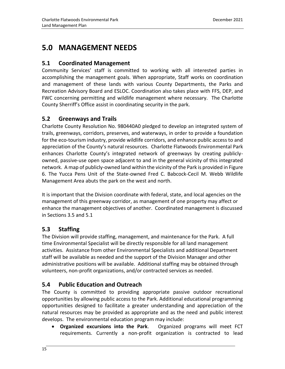# <span id="page-14-0"></span>**5.0 MANAGEMENT NEEDS**

### <span id="page-14-1"></span>**5.1 Coordinated Management**

Community Services' staff is committed to working with all interested parties in accomplishing the management goals. When appropriate, Staff works on coordination and management of these lands with various County Departments, the Parks and Recreation Advisory Board and ESLOC. Coordination also takes place with FFS, DEP, and FWC concerning permitting and wildlife management where necessary. The Charlotte County Sherriff's Office assist in coordinating security in the park.

### <span id="page-14-2"></span>**5.2 Greenways and Trails**

Charlotte County Resolution No. 980440A0 pledged to develop an integrated system of trails, greenways, corridors, preserves, and waterways, in order to provide a foundation for the eco-tourism industry, provide wildlife corridors, and enhance public access to and appreciation of the County's natural resources. Charlotte Flatwoods Environmental Park enhances Charlotte County's integrated network of greenways by creating publiclyowned, passive-use open space adjacent to and in the general vicinity of this integrated network. A map of publicly-owned land within the vicinity of the Park is provided in Figure 6. The Yucca Pens Unit of the State-owned Fred C. Babcock-Cecil M. Webb Wildlife Management Area abuts the park on the west and north.

It is important that the Division coordinate with federal, state, and local agencies on the management of this greenway corridor, as management of one property may affect or enhance the management objectives of another. Coordinated management is discussed in Sections 3.5 and 5.1

### <span id="page-14-3"></span>**5.3 Staffing**

The Division will provide staffing, management, and maintenance for the Park. A full time Environmental Specialist will be directly responsible for all land management activities. Assistance from other Environmental Specialists and additional Department staff will be available as needed and the support of the Division Manager and other administrative positions will be available. Additional staffing may be obtained through volunteers, non-profit organizations, and/or contracted services as needed.

### <span id="page-14-4"></span>**5.4 Public Education and Outreach**

The County is committed to providing appropriate passive outdoor recreational opportunities by allowing public access to the Park. Additional educational programming opportunities designed to facilitate a greater understanding and appreciation of the natural resources may be provided as appropriate and as the need and public interest develops. The environmental education program may include:

• **Organized excursions into the Park**. Organized programs will meet FCT requirements. Currently a non-profit organization is contracted to lead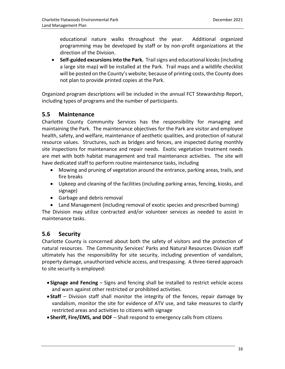educational nature walks throughout the year. Additional organized programming may be developed by staff or by non-profit organizations at the direction of the Division.

• **Self-guided excursions into the Park.** Trail signs and educational kiosks (including a large site map) will be installed at the Park. Trail maps and a wildlife checklist will be posted on the County's website; because of printing costs, the County does not plan to provide printed copies at the Park.

Organized program descriptions will be included in the annual FCT Stewardship Report, including types of programs and the number of participants.

### <span id="page-15-0"></span>**5.5 Maintenance**

Charlotte County Community Services has the responsibility for managing and maintaining the Park. The maintenance objectives for the Park are visitor and employee health, safety, and welfare, maintenance of aesthetic qualities, and protection of natural resource values. Structures, such as bridges and fences, are inspected during monthly site inspections for maintenance and repair needs. Exotic vegetation treatment needs are met with both habitat management and trail maintenance activities. The site will have dedicated staff to perform routine maintenance tasks, including

- Mowing and pruning of vegetation around the entrance, parking areas, trails, and fire breaks
- Upkeep and cleaning of the facilities (including parking areas, fencing, kiosks, and signage)
- Garbage and debris removal
- Land Management (including removal of exotic species and prescribed burning)

The Division may utilize contracted and/or volunteer services as needed to assist in maintenance tasks.

### <span id="page-15-1"></span>**5.6 Security**

Charlotte County is concerned about both the safety of visitors and the protection of natural resources. The Community Services' Parks and Natural Resources Division staff ultimately has the responsibility for site security, including prevention of vandalism, property damage, unauthorized vehicle access, and trespassing. A three-tiered approach to site security is employed:

- **Signage and Fencing** Signs and fencing shall be installed to restrict vehicle access and warn against other restricted or prohibited activities.
- **Staff** Division staff shall monitor the integrity of the fences, repair damage by vandalism, monitor the site for evidence of ATV use, and take measures to clarify restricted areas and activities to citizens with signage
- **Sheriff, Fire/EMS, and DOF** Shall respond to emergency calls from citizens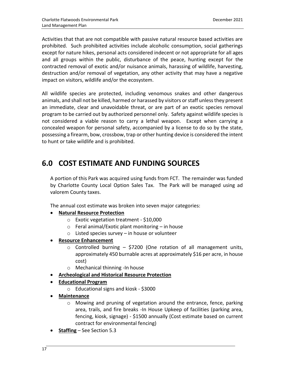Activities that that are not compatible with passive natural resource based activities are prohibited. Such prohibited activities include alcoholic consumption, social gatherings except for nature hikes, personal acts considered indecent or not appropriate for all ages and all groups within the public, disturbance of the peace, hunting except for the contracted removal of exotic and/or nuisance animals, harassing of wildlife, harvesting, destruction and/or removal of vegetation, any other activity that may have a negative impact on visitors, wildlife and/or the ecosystem.

All wildlife species are protected, including venomous snakes and other dangerous animals, and shall not be killed, harmed or harassed by visitors or staff unless they present an immediate, clear and unavoidable threat, or are part of an exotic species removal program to be carried out by authorized personnel only. Safety against wildlife species is not considered a viable reason to carry a lethal weapon. Except when carrying a concealed weapon for personal safety, accompanied by a license to do so by the state, possessing a firearm, bow, crossbow, trap or other hunting device is considered the intent to hunt or take wildlife and is prohibited.

# <span id="page-16-0"></span>**6.0 COST ESTIMATE AND FUNDING SOURCES**

A portion of this Park was acquired using funds from FCT. The remainder was funded by Charlotte County Local Option Sales Tax. The Park will be managed using ad valorem County taxes.

The annual cost estimate was broken into seven major categories:

- **Natural Resource Protection** 
	- o Exotic vegetation treatment \$10,000
	- $\circ$  Feral animal/Exotic plant monitoring in house
	- $\circ$  Listed species survey in house or volunteer
- **Resource Enhancement** 
	- $\circ$  Controlled burning \$7200 (One rotation of all management units, approximately 450 burnable acres at approximately \$16 per acre, in house cost)
	- o Mechanical thinning -In house
- **Archeological and Historical Resource Protection**
- **Educational Program** 
	- o Educational signs and kiosk \$3000
- **Maintenance** 
	- $\circ$  Mowing and pruning of vegetation around the entrance, fence, parking area, trails, and fire breaks -In House Upkeep of facilities (parking area, fencing, kiosk, signage) - \$1500 annually (Cost estimate based on current contract for environmental fencing)
- **Staffing** See Section 5.3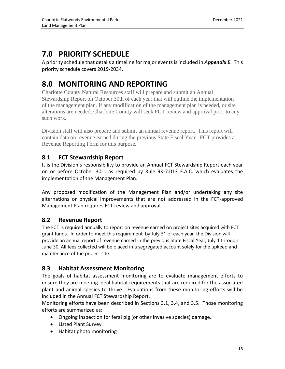# <span id="page-17-0"></span>**7.0 PRIORITY SCHEDULE**

A priority schedule that details a timeline for major events is included in *Appendix E*. This priority schedule covers 2019-2034.

# <span id="page-17-1"></span>**8.0 MONITORING AND REPORTING**

Charlotte County Natural Resources staff will prepare and submit an Annual Stewardship Report on October 30th of each year that will outline the implementation of the management plan. If any modification of the management plan is needed, or site alterations are needed, Charlotte County will seek FCT review and approval prior to any such work.

Division staff will also prepare and submit an annual revenue report. This report will contain data on revenue earned during the previous State Fiscal Year. FCT provides a Revenue Reporting Form for this purpose.

## <span id="page-17-2"></span>**8.1 FCT Stewardship Report**

It is the Division's responsibility to provide an Annual FCT Stewardship Report each year on or before October 30<sup>th</sup>, as required by Rule 9K-7.013 F.A.C. which evaluates the implementation of the Management Plan.

Any proposed modification of the Management Plan and/or undertaking any site alternations or physical improvements that are not addressed in the FCT-approved Management Plan requires FCT review and approval.

### <span id="page-17-3"></span>**8.2 Revenue Report**

The FCT is required annually to report on revenue earned on project sites acquired with FCT grant funds. In order to meet this requirement, by July 31 of each year, the Division will provide an annual report of revenue earned in the previous State Fiscal Year, July 1 through June 30. All fees collected will be placed in a segregated account solely for the upkeep and maintenance of the project site.

### <span id="page-17-4"></span>**8.3 Habitat Assessment Monitoring**

The goals of habitat assessment monitoring are to evaluate management efforts to ensure they are meeting ideal habitat requirements that are required for the associated plant and animal species to thrive. Evaluations from these monitoring efforts will be included in the Annual FCT Stewardship Report.

Monitoring efforts have been described in Sections 3.1, 3.4, and 3.5. Those monitoring efforts are summarized as:

- Ongoing inspection for feral pig (or other invasive species) damage.
- Listed Plant Survey
- Habitat photo monitoring